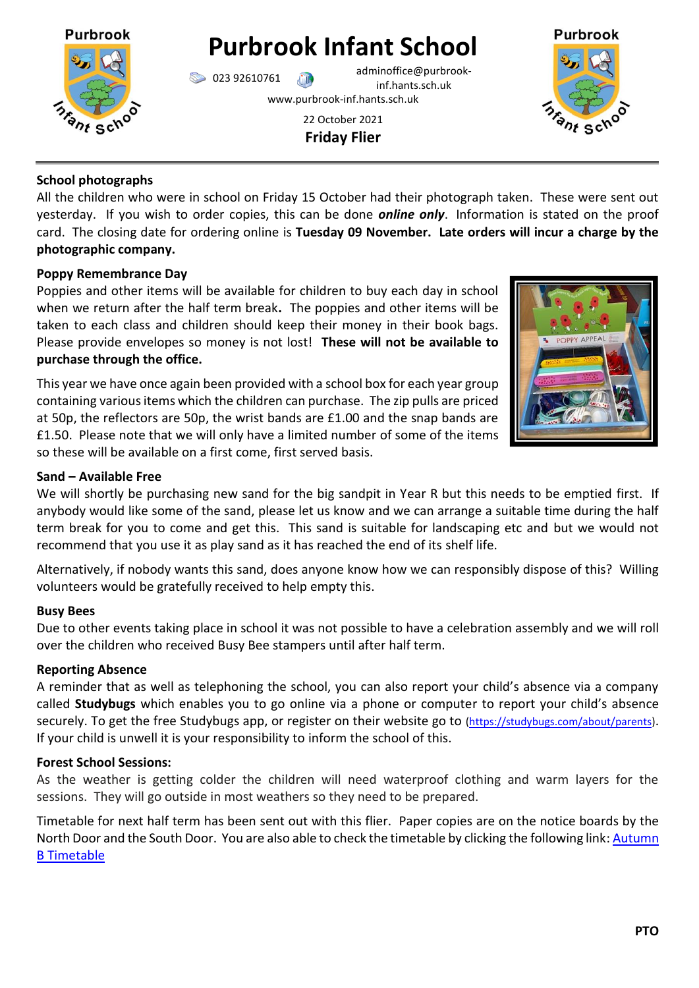

**Purbrook Infant School**

023 92610761 adminoffice@purbrookinf.hants.sch.uk

www.purbrook-inf.hants.sch.uk

22 October 2021 **Friday Flier**



### **School photographs**

All the children who were in school on Friday 15 October had their photograph taken. These were sent out yesterday. If you wish to order copies, this can be done *online only*. Information is stated on the proof card. The closing date for ordering online is **Tuesday 09 November. Late orders will incur a charge by the photographic company.** 

# **Poppy Remembrance Day**

Poppies and other items will be available for children to buy each day in school when we return after the half term break**.** The poppies and other items will be taken to each class and children should keep their money in their book bags. Please provide envelopes so money is not lost! **These will not be available to purchase through the office.**

This year we have once again been provided with a school box for each year group containing various items which the children can purchase. The zip pulls are priced at 50p, the reflectors are 50p, the wrist bands are £1.00 and the snap bands are £1.50. Please note that we will only have a limited number of some of the items so these will be available on a first come, first served basis.



### **Sand – Available Free**

We will shortly be purchasing new sand for the big sandpit in Year R but this needs to be emptied first. If anybody would like some of the sand, please let us know and we can arrange a suitable time during the half term break for you to come and get this. This sand is suitable for landscaping etc and but we would not recommend that you use it as play sand as it has reached the end of its shelf life.

Alternatively, if nobody wants this sand, does anyone know how we can responsibly dispose of this? Willing volunteers would be gratefully received to help empty this.

#### **Busy Bees**

Due to other events taking place in school it was not possible to have a celebration assembly and we will roll over the children who received Busy Bee stampers until after half term.

#### **Reporting Absence**

A reminder that as well as telephoning the school, you can also report your child's absence via a company called **Studybugs** which enables you to go online via a phone or computer to report your child's absence securely. To get the free Studybugs app, or register on their website go to [\(https://studybugs.com/about/parents\)](https://studybugs.com/about/parents). If your child is unwell it is your responsibility to inform the school of this.

#### **Forest School Sessions:**

As the weather is getting colder the children will need waterproof clothing and warm layers for the sessions. They will go outside in most weathers so they need to be prepared.

Timetable for next half term has been sent out with this flier. Paper copies are on the notice boards by the North Door and the South Door. You are also able to check the timetable by clicking the following link: Autumn [B Timetable](https://www.purbrook-inf.hants.sch.uk/wp-content/uploads/2021/10/Forest-School-timetable-Autumn-B.pdf)